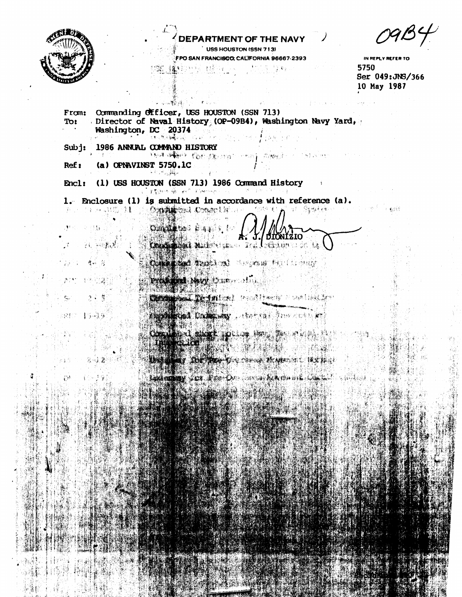

医卵醇

9 R

十分报纸

왕~) 참가

d<mark>e</mark>ren

 $\tilde{C}$ 

(4. 一次熟悉)

## **ARTMENT OF THE NAV**

USS HOUSTON (SSN 713) FPO SAN FRANCISCO CALIFORNIA 96667-2393

IN REPLY REFER TO 5750 Ser 049: JNS/366 10 May 1987

From: Commanding Officer, USS HOUSTON (SSN 713) Director of Naval History (OP-09B4), Washington Navy Yard, Tot Washington, DC 20374 化聚合物 医抗心

本語 四星

 $Sub$ : 1986 ANNUAL COMMAND HISTORY

1994年1945年11月18日, 1998年11月18日, 1998年11月18日, 1998年11月17日 in Piperme (a) OPNAVINST 5750.1C  $Ref:$ 

(1) USS HOUSTON (SSN 713) 1986 Command History Encl: PROPERTY OF PLANS

 $\left\{ \prod_{i=1}^n \mathbf{V}_i \right\}_{i=1}^n \geq \gamma \leq \frac{1}{n}$ 

1. Enclosure (1) is submitted in accordance with reference (a). 海绵 机五 OMARON CONSTRUCTION M. Remaken 我已 的 医调成隐

**Conditional** Cape J./DIONIZIO **RAMBARACHER TALESON DEL** 

**RASSING THE REPORT OF LANDS DESCRIPTION** 

**POSTA NOVIDADE DELL'I** 

TANDA TEMPLAL PROTECTION NO.

Company Estate String Man Marian String 

MARINE ACTOR The News Matters Rather LANDING FOR REAL CARD AND MALL CAL